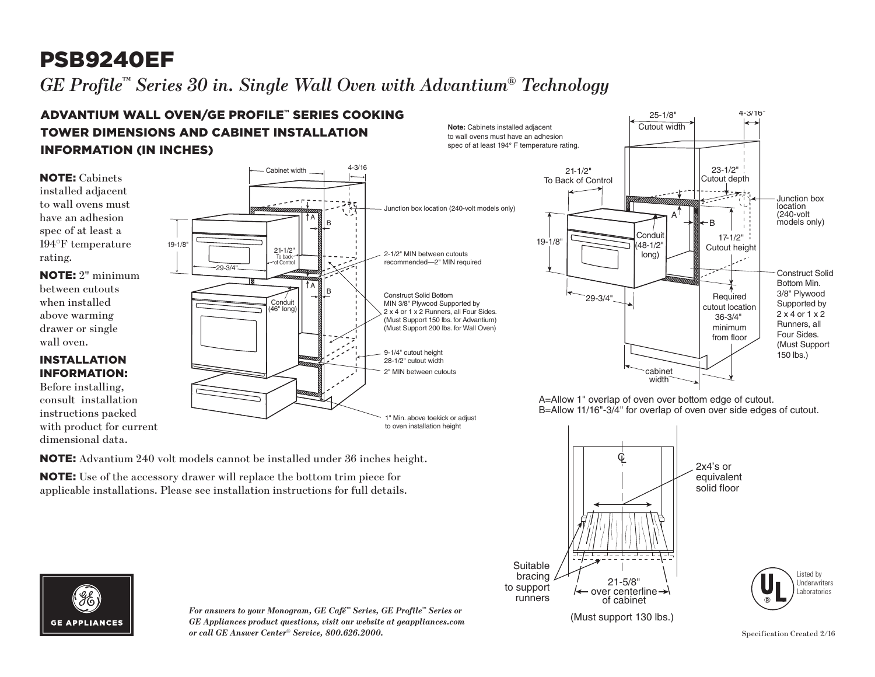### PSB9240EF  $G\!E$  Profile™ Series 30 in. Single Wall Oven with Advantium® Technology file $\degree$  Series  $30$  in  $\imath$  Ac

#### ADVANTIUM WALL OVEN∕GE PROFILE™ SERIES COOKING TOWER DIMENSIONS AND CABINET INSTALLATION INFORMATION (IN INCHES)  $\blacksquare$ Best 11/16" for over side edges of over side edges of cutout. The cutout of cutout  $\mathbf{r}_{\text{max}}$

NOTE: Advantium 240 volt models cannot be installed under 36 inches height.

NOTE: Use of the accessory drawer will replace the bottom trim piece for applicable installations. Please see installation instructions for full details.



NOTE: 2" minimum between cutouts when installed above warming drawer or single wall oven.

### INSTALLATION INFORMATION:

Before installing, consult installation instructions packed with product for current dimensional data.





A=Allow 1" overlap of oven over bottom edge of cutout. B=Allow 11/16"-3/4" for overlap of oven over side edges of cutout.



 $\mathcal{N}$ 



*For answers to your Monogram, GE Café™ Series, GE Profile™ Series or GE Appliances product questions, visit our website at geappliances.com or call GE Answer Center® Service, 800.626.2000.*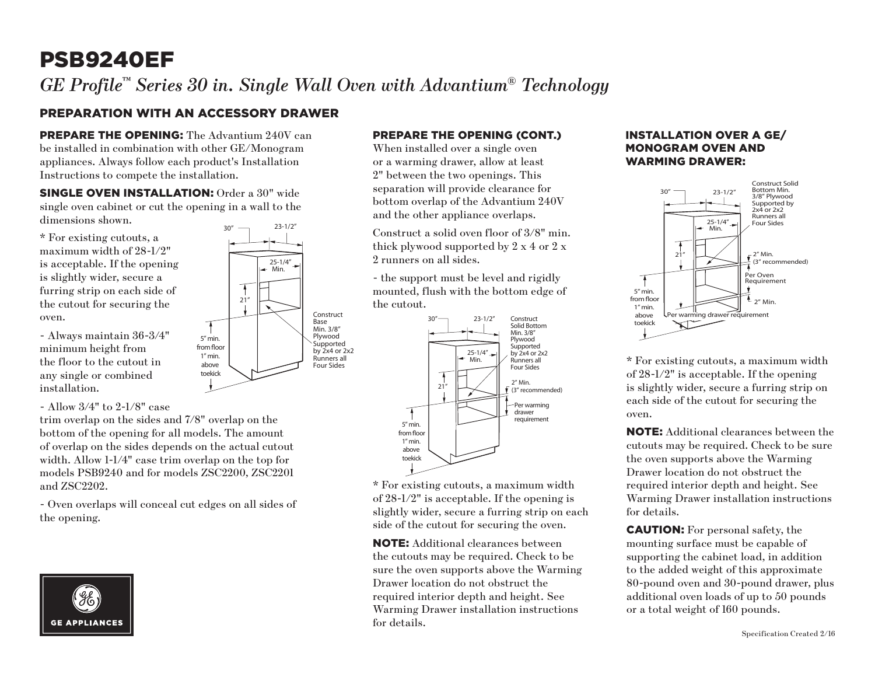# PSB9240EF

*GE Profile™ Series 30 in. Single Wall Oven with Advantium® Technology*

Construct Base Min. 3/8" Plywood Supported by 2x4 or 2x2 Runners all Four Sides

25-1/4" Min.

21"

 $\overline{\mathbf{f}}$ 

5" min. from floor  $1<sup>n</sup>$  min. above toekick

## PREPARATION WITH AN ACCESSORY DRAWER

PREPARE THE OPENING: The Advantium 240V can be installed in combination with other GE/Monogram appliances. Always follow each product's Installation Instructions to compete the installation.

SINGLE OVEN INSTALLATION: Order a 30" wide single oven cabinet or cut the opening in a wall to the dimensions shown.  $30''$   $23-1/2''$ 

\* For existing cutouts, a maximum width of 28-1/2" is acceptable. If the opening is slightly wider, secure a furring strip on each side of the cutout for securing the oven.

- Always maintain 36-3/4" minimum height from the floor to the cutout in any single or combined installation.

- Allow 3/4" to 2-1/8" case

trim overlap on the sides and 7/8" overlap on the bottom of the opening for all models. The amount of overlap on the sides depends on the actual cutout width. Allow 1-1/4" case trim overlap on the top for models PSB9240 and for models ZSC2200, ZSC2201 and ZSC2202.

- Oven overlaps will conceal cut edges on all sides of the opening.





When installed over a single oven or a warming drawer, allow at least 2" between the two openings. This separation will provide clearance for bottom overlap of the Advantium 240V and the other appliance overlaps.

Construct a solid oven floor of 3/8" min. thick plywood supported by 2 x 4 or 2 x 2 runners on all sides.

mounted, flush with the bottom edge of the cutout. - the support must be level and rigidly



\* For existing cutouts, a maximum width of 28-1/2" is acceptable. If the opening is slightly wider, secure a furring strip on each side of the cutout for securing the oven.

NOTE: Additional clearances between the cutouts may be required. Check to be sure the oven supports above the Warming Drawer location do not obstruct the required interior depth and height. See Warming Drawer installation instructions for details.

#### INSTALLATION OVER A GE/ MONOGRAM OVEN AND WARMING DRAWER:



\* For existing cutouts, a maximum width of 28-1/2" is acceptable. If the opening is slightly wider, secure a furring strip on each side of the cutout for securing the oven.

NOTE: Additional clearances between the cutouts may be required. Check to be sure the oven supports above the Warming Drawer location do not obstruct the required interior depth and height. See Warming Drawer installation instructions for details.

CAUTION: For personal safety, the mounting surface must be capable of supporting the cabinet load, in addition to the added weight of this approximate 80-pound oven and 30-pound drawer, plus additional oven loads of up to 50 pounds or a total weight of 160 pounds.